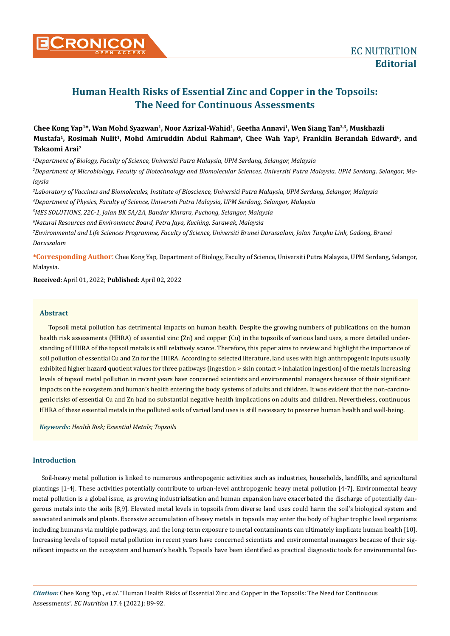# **Human Health Risks of Essential Zinc and Copper in the Topsoils: The Need for Continuous Assessments**

## Chee Kong Yap<sup>1\*</sup>, Wan Mohd Syazwan<sup>1</sup>, Noor Azrizal-Wahid<sup>1</sup>, Geetha Annavi<sup>1</sup>, Wen Siang Tan<sup>2,3</sup>, Muskhazli Mustafa<sup>1</sup>, Rosimah Nulit<sup>1</sup>, Mohd Amiruddin Abdul Rahman<sup>4</sup>, Chee Wah Yap<sup>5</sup>, Franklin Berandah Edward<sup>6</sup>, and **Takaomi Arai7**

*1 Department of Biology, Faculty of Science, Universiti Putra Malaysia, UPM Serdang, Selangor, Malaysia 2 Department of Microbiology, Faculty of Biotechnology and Biomolecular Sciences, Universiti Putra Malaysia, UPM Serdang, Selangor, Malaysia*

*3 Laboratory of Vaccines and Biomolecules, Institute of Bioscience, Universiti Putra Malaysia, UPM Serdang, Selangor, Malaysia*

*4 Department of Physics, Faculty of Science, Universiti Putra Malaysia, UPM Serdang, Selangor, Malaysia*

*5 MES SOLUTIONS, 22C-1, Jalan BK 5A/2A, Bandar Kinrara, Puchong, Selangor, Malaysia*

*6 Natural Resources and Environment Board, Petra Jaya, Kuching, Sarawak, Malaysia* 

*7 Environmental and Life Sciences Programme, Faculty of Science, Universiti Brunei Darussalam, Jalan Tungku Link, Gadong, Brunei Darussalam*

**\*Corresponding Author**: Chee Kong Yap, Department of Biology, Faculty of Science, Universiti Putra Malaysia, UPM Serdang, Selangor, Malaysia.

**Received:** April 01, 2022; **Published:** April 02, 2022

### **Abstract**

Topsoil metal pollution has detrimental impacts on human health. Despite the growing numbers of publications on the human health risk assessments (HHRA) of essential zinc (Zn) and copper (Cu) in the topsoils of various land uses, a more detailed understanding of HHRA of the topsoil metals is still relatively scarce. Therefore, this paper aims to review and highlight the importance of soil pollution of essential Cu and Zn for the HHRA. According to selected literature, land uses with high anthropogenic inputs usually exhibited higher hazard quotient values for three pathways (ingestion > skin contact > inhalation ingestion) of the metals Increasing levels of topsoil metal pollution in recent years have concerned scientists and environmental managers because of their significant impacts on the ecosystem and human's health entering the body systems of adults and children. It was evident that the non-carcinogenic risks of essential Cu and Zn had no substantial negative health implications on adults and children. Nevertheless, continuous HHRA of these essential metals in the polluted soils of varied land uses is still necessary to preserve human health and well-being.

*Keywords: Health Risk; Essential Metals; Topsoils*

### **Introduction**

Soil-heavy metal pollution is linked to numerous anthropogenic activities such as industries, households, landfills, and agricultural plantings [1-4]. These activities potentially contribute to urban-level anthropogenic heavy metal pollution [4-7]. Environmental heavy metal pollution is a global issue, as growing industrialisation and human expansion have exacerbated the discharge of potentially dangerous metals into the soils [8,9]. Elevated metal levels in topsoils from diverse land uses could harm the soil's biological system and associated animals and plants. Excessive accumulation of heavy metals in topsoils may enter the body of higher trophic level organisms including humans via multiple pathways, and the long-term exposure to metal contaminants can ultimately implicate human health [10]. Increasing levels of topsoil metal pollution in recent years have concerned scientists and environmental managers because of their significant impacts on the ecosystem and human's health. Topsoils have been identified as practical diagnostic tools for environmental fac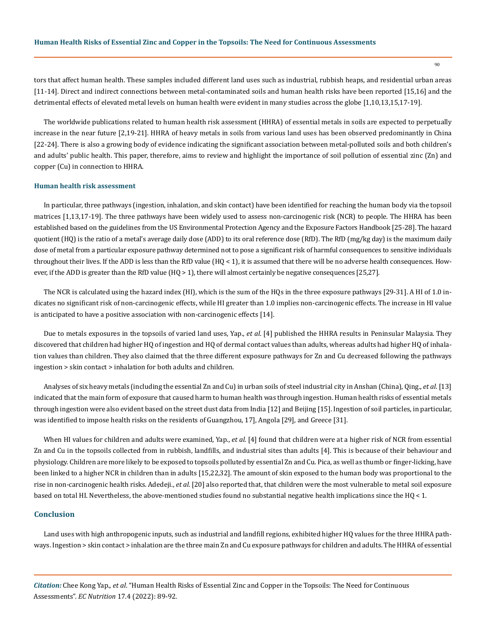tors that affect human health. These samples included different land uses such as industrial, rubbish heaps, and residential urban areas [11-14]. Direct and indirect connections between metal-contaminated soils and human health risks have been reported [15,16] and the detrimental effects of elevated metal levels on human health were evident in many studies across the globe [1,10,13,15,17-19].

The worldwide publications related to human health risk assessment (HHRA) of essential metals in soils are expected to perpetually increase in the near future [2,19-21]. HHRA of heavy metals in soils from various land uses has been observed predominantly in China [22-24]. There is also a growing body of evidence indicating the significant association between metal-polluted soils and both children's and adults' public health. This paper, therefore, aims to review and highlight the importance of soil pollution of essential zinc (Zn) and copper (Cu) in connection to HHRA.

#### **Human health risk assessment**

In particular, three pathways (ingestion, inhalation, and skin contact) have been identified for reaching the human body via the topsoil matrices [1,13,17-19]. The three pathways have been widely used to assess non-carcinogenic risk (NCR) to people. The HHRA has been established based on the guidelines from the US Environmental Protection Agency and the Exposure Factors Handbook [25-28]. The hazard quotient (HQ) is the ratio of a metal's average daily dose (ADD) to its oral reference dose (RfD). The RfD (mg/kg day) is the maximum daily dose of metal from a particular exposure pathway determined not to pose a significant risk of harmful consequences to sensitive individuals throughout their lives. If the ADD is less than the RfD value (HQ < 1), it is assumed that there will be no adverse health consequences. However, if the ADD is greater than the RfD value (HQ > 1), there will almost certainly be negative consequences [25,27].

The NCR is calculated using the hazard index (HI), which is the sum of the HQs in the three exposure pathways [29-31]. A HI of 1.0 indicates no significant risk of non-carcinogenic effects, while HI greater than 1.0 implies non-carcinogenic effects. The increase in HI value is anticipated to have a positive association with non-carcinogenic effects [14].

Due to metals exposures in the topsoils of varied land uses, Yap., *et al*. [4] published the HHRA results in Peninsular Malaysia. They discovered that children had higher HQ of ingestion and HQ of dermal contact values than adults, whereas adults had higher HQ of inhalation values than children. They also claimed that the three different exposure pathways for Zn and Cu decreased following the pathways ingestion > skin contact > inhalation for both adults and children.

Analyses of six heavy metals (including the essential Zn and Cu) in urban soils of steel industrial city in Anshan (China), Qing., *et al*. [13] indicated that the main form of exposure that caused harm to human health was through ingestion. Human health risks of essential metals through ingestion were also evident based on the street dust data from India [12] and Beijing [15]. Ingestion of soil particles, in particular, was identified to impose health risks on the residents of Guangzhou, 17], Angola [29], and Greece [31].

When HI values for children and adults were examined, Yap., *et al*. [4] found that children were at a higher risk of NCR from essential Zn and Cu in the topsoils collected from in rubbish, landfills, and industrial sites than adults [4]. This is because of their behaviour and physiology. Children are more likely to be exposed to topsoils polluted by essential Zn and Cu. Pica, as well as thumb or finger-licking, have been linked to a higher NCR in children than in adults [15,22,32]. The amount of skin exposed to the human body was proportional to the rise in non-carcinogenic health risks. Adedeji., *et al*. [20] also reported that, that children were the most vulnerable to metal soil exposure based on total HI. Nevertheless, the above-mentioned studies found no substantial negative health implications since the HQ < 1.

### **Conclusion**

Land uses with high anthropogenic inputs, such as industrial and landfill regions, exhibited higher HQ values for the three HHRA pathways. Ingestion > skin contact > inhalation are the three main Zn and Cu exposure pathways for children and adults. The HHRA of essential

*Citation:* Chee Kong Yap., *et al*. "Human Health Risks of Essential Zinc and Copper in the Topsoils: The Need for Continuous Assessments". *EC Nutrition* 17.4 (2022): 89-92.

90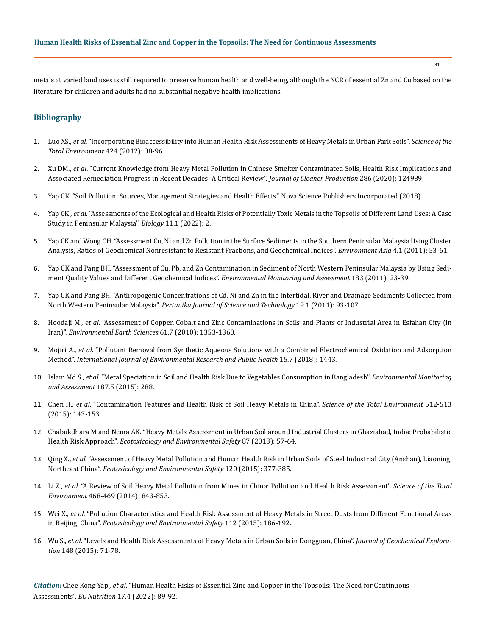metals at varied land uses is still required to preserve human health and well-being, although the NCR of essential Zn and Cu based on the literature for children and adults had no substantial negative health implications.

### **Bibliography**

- 1. Luo XS., *et al*[. "Incorporating Bioaccessibility into Human Health Risk Assessments of Heavy Metals in Urban Park Soils".](https://pubmed.ncbi.nlm.nih.gov/22444057/) *Science of the [Total Environment](https://pubmed.ncbi.nlm.nih.gov/22444057/)* 424 (2012): 88-96.
- 2. Xu DM., *et al*[. "Current Knowledge from Heavy Metal Pollution in Chinese Smelter Contaminated Soils, Health Risk Implications and](https://www.sciencedirect.com/science/article/abs/pii/S0959652620350332) [Associated Remediation Progress in Recent Decades: A Critical Review".](https://www.sciencedirect.com/science/article/abs/pii/S0959652620350332) *Journal of Cleaner Production* 286 (2020): 124989.
- 3. [Yap CK. "Soil Pollution: Sources, Management Strategies and Health Effects". Nova Science Publishers Incorporated \(2018\).](https://novapublishers.com/shop/soil-pollution-sources-management-strategies-and-health-effects/)
- 4. Yap CK., *et al*[. "Assessments of the Ecological and Health Risks of Potentially Toxic Metals in the Topsoils of Different Land Uses: A Case](https://www.mdpi.com/2079-7737/11/1/2) [Study in Peninsular Malaysia".](https://www.mdpi.com/2079-7737/11/1/2) *Biology* 11.1 (2022): 2.
- 5. [Yap CK and Wong CH. "Assessment Cu, Ni and Zn Pollution in the Surface Sediments in the Southern Peninsular Malaysia Using Cluster](https://www.researchgate.net/publication/289017989_Assessment_Cu_Ni_and_Zn_Pollution_in_the_Surface_Sediments_in_the_Southern_Peninsular_Malaysia_using_Cluster_Analysis_Ratios_of_Geochemical_Nonresistant_to_Resistant_Fractions_and_Geochemical_Indices) [Analysis, Ratios of Geochemical Nonresistant to Resistant Fractions, and Geochemical Indices".](https://www.researchgate.net/publication/289017989_Assessment_Cu_Ni_and_Zn_Pollution_in_the_Surface_Sediments_in_the_Southern_Peninsular_Malaysia_using_Cluster_Analysis_Ratios_of_Geochemical_Nonresistant_to_Resistant_Fractions_and_Geochemical_Indices) *Environment Asia* 4.1 (2011): 53-61.
- 6. [Yap CK and Pang BH. "Assessment of Cu, Pb, and Zn Contamination in Sediment of North Western Peninsular Malaysia by Using Sedi](https://link.springer.com/article/10.1007/s10661-011-1903-3)[ment Quality Values and Different Geochemical Indices".](https://link.springer.com/article/10.1007/s10661-011-1903-3) *Environmental Monitoring and Assessment* 183 (2011): 23-39.
- 7. [Yap CK and Pang BH. "Anthropogenic Concentrations of Cd, Ni and Zn in the Intertidal, River and Drainage Sediments Collected from](http://psasir.upm.edu.my/id/eprint/13123/1/Anthropogenic%20Concentrations%20of%20Cd,%20Ni%20and%20Zn%20in%20the%20Intertidal,%20River%20and.pdf) North Western Peninsular Malaysia". *[Pertanika Journal of Science and Technology](http://psasir.upm.edu.my/id/eprint/13123/1/Anthropogenic%20Concentrations%20of%20Cd,%20Ni%20and%20Zn%20in%20the%20Intertidal,%20River%20and.pdf)* 19.1 (2011): 93-107.
- 8. Hoodaji M., *et al*[. "Assessment of Copper, Cobalt and Zinc Contaminations in Soils and Plants of Industrial Area in Esfahan City \(in](https://eurekamag.com/research/037/004/037004765.php) Iran)". *[Environmental Earth Sciences](https://eurekamag.com/research/037/004/037004765.php)* 61.7 (2010): 1353-1360.
- 9. Mojiri A., *et al*[. "Pollutant Removal from Synthetic Aqueous Solutions with a Combined Electrochemical Oxidation and Adsorption](https://pubmed.ncbi.nlm.nih.gov/29987230/) Method". *[International Journal of Environmental Research and Public Health](https://pubmed.ncbi.nlm.nih.gov/29987230/)* 15.7 (2018): 1443.
- 10. Islam Md S., *et al*[. "Metal Speciation in Soil and Health Risk Due to Vegetables Consumption in Bangladesh".](https://pubmed.ncbi.nlm.nih.gov/25903407/) *Environmental Monitoring and Assessment* [187.5 \(2015\): 288.](https://pubmed.ncbi.nlm.nih.gov/25903407/)
- 11. Chen H., *et al*[. "Contamination Features and Health Risk of Soil Heavy Metals in China".](https://pubmed.ncbi.nlm.nih.gov/25617996/) *Science of the Total Environment* 512-513 [\(2015\): 143-153.](https://pubmed.ncbi.nlm.nih.gov/25617996/)
- 12. [Chabukdhara M and Nema AK. "Heavy Metals Assessment in Urban Soil around Industrial Clusters in Ghaziabad, India: Probabilistic](https://pubmed.ncbi.nlm.nih.gov/23116622/) Health Risk Approach". *[Ecotoxicology and Environmental Safety](https://pubmed.ncbi.nlm.nih.gov/23116622/)* 87 (2013): 57-64.
- 13. Qing X., *et al*[. "Assessment of Heavy Metal Pollution and Human Health Risk in Urban Soils of Steel Industrial City \(Anshan\), Liaoning,](https://www.sciencedirect.com/science/article/abs/pii/S0147651315003048) Northeast China". *[Ecotoxicology and Environmental Safety](https://www.sciencedirect.com/science/article/abs/pii/S0147651315003048)* 120 (2015): 377-385.
- 14. Li Z., *et al*[. "A Review of Soil Heavy Metal Pollution from Mines in China: Pollution and Health Risk Assessment".](https://www.sciencedirect.com/science/article/abs/pii/S0048969713010176) *Science of the Total Environment* [468-469 \(2014\): 843-853.](https://www.sciencedirect.com/science/article/abs/pii/S0048969713010176)
- 15. Wei X., *et al*[. "Pollution Characteristics and Health Risk Assessment of Heavy Metals in Street Dusts from Different Functional Areas](https://pubmed.ncbi.nlm.nih.gov/25463870/) in Beijing, China". *[Ecotoxicology and Environmental Safety](https://pubmed.ncbi.nlm.nih.gov/25463870/)* 112 (2015): 186-192.
- 16. Wu S., *et al*[. "Levels and Health Risk Assessments of Heavy Metals in Urban Soils in Dongguan, China".](https://www.sciencedirect.com/science/article/abs/pii/S0375674214002969) *Journal of Geochemical Exploration* [148 \(2015\): 71-78.](https://www.sciencedirect.com/science/article/abs/pii/S0375674214002969)

*Citation:* Chee Kong Yap., *et al*. "Human Health Risks of Essential Zinc and Copper in the Topsoils: The Need for Continuous Assessments". *EC Nutrition* 17.4 (2022): 89-92.

**91**